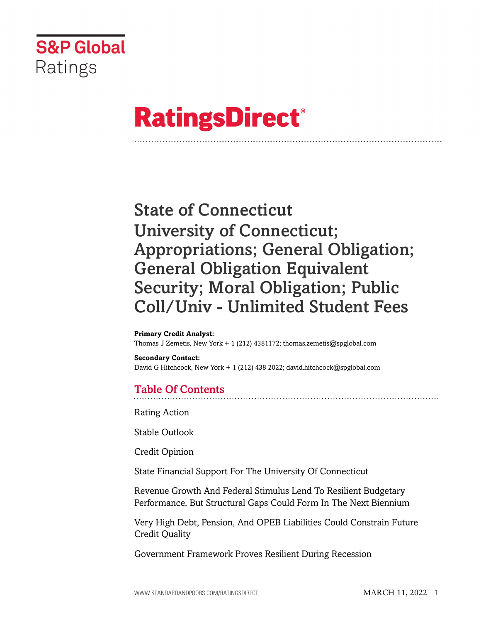

# **RatingsDirect®**

## State of Connecticut University of Connecticut; Appropriations; General Obligation; General Obligation Equivalent Security; Moral Obligation; Public Coll/Univ - Unlimited Student Fees

#### **Primary Credit Analyst:**

Thomas J Zemetis, New York + 1 (212) 4381172; thomas.zemetis@spglobal.com

**Secondary Contact:** David G Hitchcock, New York + 1 (212) 438 2022; david.hitchcock@spglobal.com

### Table Of Contents

[Rating Action](#page-2-0)

[Stable Outlook](#page-6-0)

[Credit Opinion](#page-6-1)

[State Financial Support For The University Of Connecticut](#page-6-2)

[Revenue Growth And Federal Stimulus Lend To Resilient Budgetary](#page-8-0) [Performance, But Structural Gaps Could Form In The Next Biennium](#page-8-0)

[Very High Debt, Pension, And OPEB Liabilities Could Constrain Future](#page-9-0) [Credit Quality](#page-9-0)

[Government Framework Proves Resilient During Recession](#page-10-0)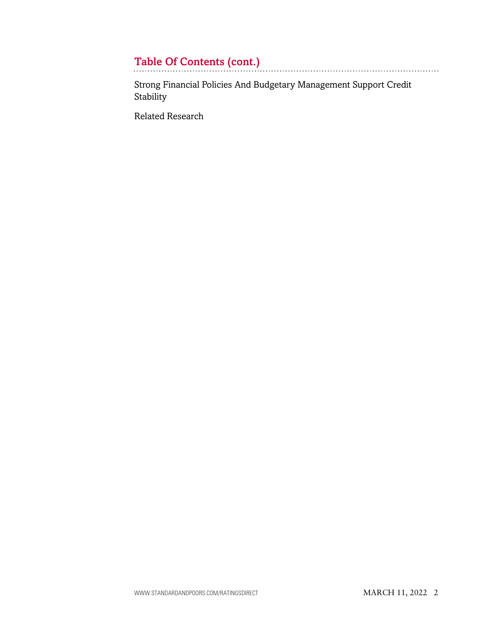## Table Of Contents (cont.)

[Strong Financial Policies And Budgetary Management Support Credit](#page-11-0) [Stability](#page-11-0)

[Related Research](#page-12-0)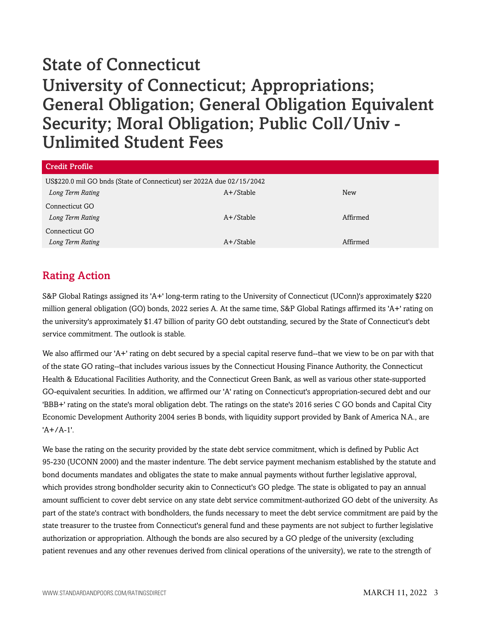| <b>Credit Profile</b>                                                 |              |            |
|-----------------------------------------------------------------------|--------------|------------|
| US\$220.0 mil GO bnds (State of Connecticut) ser 2022A due 02/15/2042 |              |            |
| Long Term Rating                                                      | $A+$ /Stable | <b>New</b> |
| Connecticut GO                                                        |              |            |
| Long Term Rating                                                      | $A+$ /Stable | Affirmed   |
| Connecticut GO                                                        |              |            |
| Long Term Rating                                                      | A+/Stable    | Affirmed   |

## <span id="page-2-0"></span>Rating Action

S&P Global Ratings assigned its 'A+' long-term rating to the University of Connecticut (UConn)'s approximately \$220 million general obligation (GO) bonds, 2022 series A. At the same time, S&P Global Ratings affirmed its 'A+' rating on the university's approximately \$1.47 billion of parity GO debt outstanding, secured by the State of Connecticut's debt service commitment. The outlook is stable.

We also affirmed our 'A+' rating on debt secured by a special capital reserve fund--that we view to be on par with that of the state GO rating--that includes various issues by the Connecticut Housing Finance Authority, the Connecticut Health & Educational Facilities Authority, and the Connecticut Green Bank, as well as various other state-supported GO-equivalent securities. In addition, we affirmed our 'A' rating on Connecticut's appropriation-secured debt and our 'BBB+' rating on the state's moral obligation debt. The ratings on the state's 2016 series C GO bonds and Capital City Economic Development Authority 2004 series B bonds, with liquidity support provided by Bank of America N.A., are 'A+/A-1'.

We base the rating on the security provided by the state debt service commitment, which is defined by Public Act 95-230 (UCONN 2000) and the master indenture. The debt service payment mechanism established by the statute and bond documents mandates and obligates the state to make annual payments without further legislative approval, which provides strong bondholder security akin to Connecticut's GO pledge. The state is obligated to pay an annual amount sufficient to cover debt service on any state debt service commitment-authorized GO debt of the university. As part of the state's contract with bondholders, the funds necessary to meet the debt service commitment are paid by the state treasurer to the trustee from Connecticut's general fund and these payments are not subject to further legislative authorization or appropriation. Although the bonds are also secured by a GO pledge of the university (excluding patient revenues and any other revenues derived from clinical operations of the university), we rate to the strength of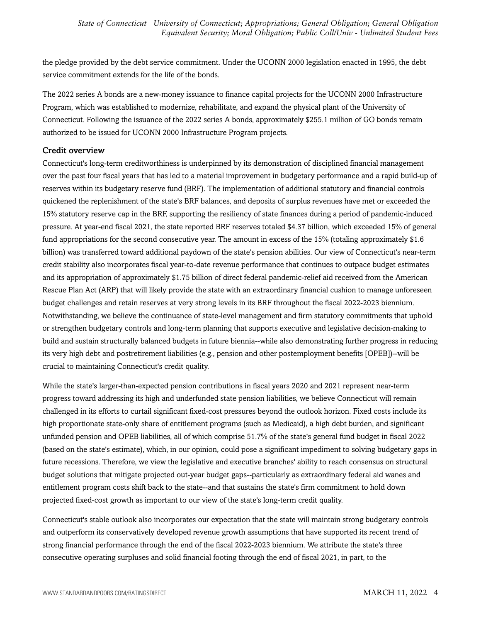the pledge provided by the debt service commitment. Under the UCONN 2000 legislation enacted in 1995, the debt service commitment extends for the life of the bonds.

The 2022 series A bonds are a new-money issuance to finance capital projects for the UCONN 2000 Infrastructure Program, which was established to modernize, rehabilitate, and expand the physical plant of the University of Connecticut. Following the issuance of the 2022 series A bonds, approximately \$255.1 million of GO bonds remain authorized to be issued for UCONN 2000 Infrastructure Program projects.

#### Credit overview

Connecticut's long-term creditworthiness is underpinned by its demonstration of disciplined financial management over the past four fiscal years that has led to a material improvement in budgetary performance and a rapid build-up of reserves within its budgetary reserve fund (BRF). The implementation of additional statutory and financial controls quickened the replenishment of the state's BRF balances, and deposits of surplus revenues have met or exceeded the 15% statutory reserve cap in the BRF, supporting the resiliency of state finances during a period of pandemic-induced pressure. At year-end fiscal 2021, the state reported BRF reserves totaled \$4.37 billion, which exceeded 15% of general fund appropriations for the second consecutive year. The amount in excess of the 15% (totaling approximately \$1.6 billion) was transferred toward additional paydown of the state's pension abilities. Our view of Connecticut's near-term credit stability also incorporates fiscal year-to-date revenue performance that continues to outpace budget estimates and its appropriation of approximately \$1.75 billion of direct federal pandemic-relief aid received from the American Rescue Plan Act (ARP) that will likely provide the state with an extraordinary financial cushion to manage unforeseen budget challenges and retain reserves at very strong levels in its BRF throughout the fiscal 2022-2023 biennium. Notwithstanding, we believe the continuance of state-level management and firm statutory commitments that uphold or strengthen budgetary controls and long-term planning that supports executive and legislative decision-making to build and sustain structurally balanced budgets in future biennia--while also demonstrating further progress in reducing its very high debt and postretirement liabilities (e.g., pension and other postemployment benefits [OPEB])--will be crucial to maintaining Connecticut's credit quality.

While the state's larger-than-expected pension contributions in fiscal years 2020 and 2021 represent near-term progress toward addressing its high and underfunded state pension liabilities, we believe Connecticut will remain challenged in its efforts to curtail significant fixed-cost pressures beyond the outlook horizon. Fixed costs include its high proportionate state-only share of entitlement programs (such as Medicaid), a high debt burden, and significant unfunded pension and OPEB liabilities, all of which comprise 51.7% of the state's general fund budget in fiscal 2022 (based on the state's estimate), which, in our opinion, could pose a significant impediment to solving budgetary gaps in future recessions. Therefore, we view the legislative and executive branches' ability to reach consensus on structural budget solutions that mitigate projected out-year budget gaps--particularly as extraordinary federal aid wanes and entitlement program costs shift back to the state--and that sustains the state's firm commitment to hold down projected fixed-cost growth as important to our view of the state's long-term credit quality.

Connecticut's stable outlook also incorporates our expectation that the state will maintain strong budgetary controls and outperform its conservatively developed revenue growth assumptions that have supported its recent trend of strong financial performance through the end of the fiscal 2022-2023 biennium. We attribute the state's three consecutive operating surpluses and solid financial footing through the end of fiscal 2021, in part, to the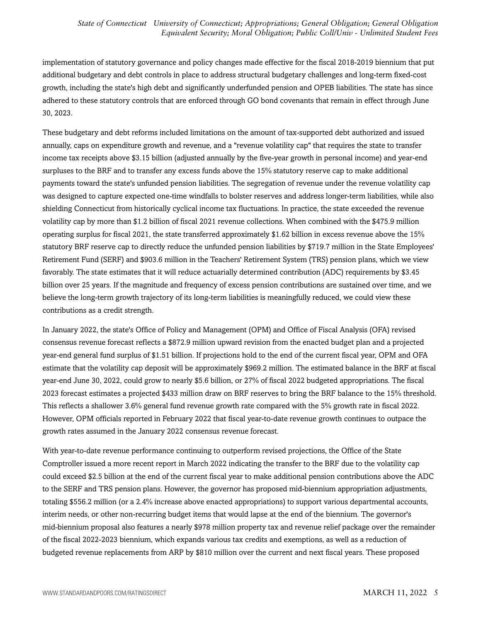implementation of statutory governance and policy changes made effective for the fiscal 2018-2019 biennium that put additional budgetary and debt controls in place to address structural budgetary challenges and long-term fixed-cost growth, including the state's high debt and significantly underfunded pension and OPEB liabilities. The state has since adhered to these statutory controls that are enforced through GO bond covenants that remain in effect through June 30, 2023.

These budgetary and debt reforms included limitations on the amount of tax-supported debt authorized and issued annually, caps on expenditure growth and revenue, and a "revenue volatility cap" that requires the state to transfer income tax receipts above \$3.15 billion (adjusted annually by the five-year growth in personal income) and year-end surpluses to the BRF and to transfer any excess funds above the 15% statutory reserve cap to make additional payments toward the state's unfunded pension liabilities. The segregation of revenue under the revenue volatility cap was designed to capture expected one-time windfalls to bolster reserves and address longer-term liabilities, while also shielding Connecticut from historically cyclical income tax fluctuations. In practice, the state exceeded the revenue volatility cap by more than \$1.2 billion of fiscal 2021 revenue collections. When combined with the \$475.9 million operating surplus for fiscal 2021, the state transferred approximately \$1.62 billion in excess revenue above the 15% statutory BRF reserve cap to directly reduce the unfunded pension liabilities by \$719.7 million in the State Employees' Retirement Fund (SERF) and \$903.6 million in the Teachers' Retirement System (TRS) pension plans, which we view favorably. The state estimates that it will reduce actuarially determined contribution (ADC) requirements by \$3.45 billion over 25 years. If the magnitude and frequency of excess pension contributions are sustained over time, and we believe the long-term growth trajectory of its long-term liabilities is meaningfully reduced, we could view these contributions as a credit strength.

In January 2022, the state's Office of Policy and Management (OPM) and Office of Fiscal Analysis (OFA) revised consensus revenue forecast reflects a \$872.9 million upward revision from the enacted budget plan and a projected year-end general fund surplus of \$1.51 billion. If projections hold to the end of the current fiscal year, OPM and OFA estimate that the volatility cap deposit will be approximately \$969.2 million. The estimated balance in the BRF at fiscal year-end June 30, 2022, could grow to nearly \$5.6 billion, or 27% of fiscal 2022 budgeted appropriations. The fiscal 2023 forecast estimates a projected \$433 million draw on BRF reserves to bring the BRF balance to the 15% threshold. This reflects a shallower 3.6% general fund revenue growth rate compared with the 5% growth rate in fiscal 2022. However, OPM officials reported in February 2022 that fiscal year-to-date revenue growth continues to outpace the growth rates assumed in the January 2022 consensus revenue forecast.

With year-to-date revenue performance continuing to outperform revised projections, the Office of the State Comptroller issued a more recent report in March 2022 indicating the transfer to the BRF due to the volatility cap could exceed \$2.5 billion at the end of the current fiscal year to make additional pension contributions above the ADC to the SERF and TRS pension plans. However, the governor has proposed mid-biennium appropriation adjustments, totaling \$556.2 million (or a 2.4% increase above enacted appropriations) to support various departmental accounts, interim needs, or other non-recurring budget items that would lapse at the end of the biennium. The governor's mid-biennium proposal also features a nearly \$978 million property tax and revenue relief package over the remainder of the fiscal 2022-2023 biennium, which expands various tax credits and exemptions, as well as a reduction of budgeted revenue replacements from ARP by \$810 million over the current and next fiscal years. These proposed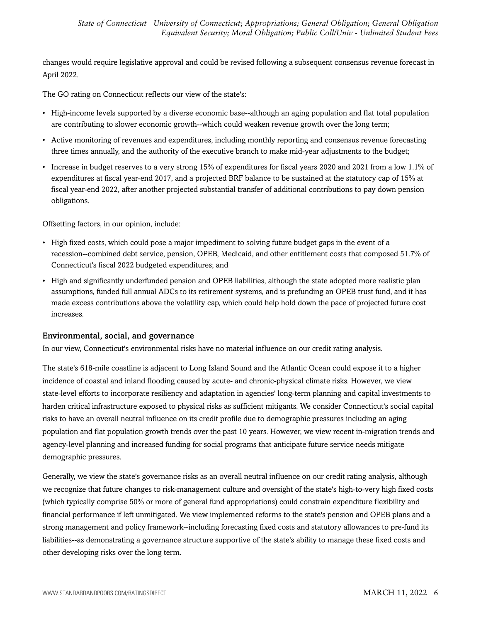changes would require legislative approval and could be revised following a subsequent consensus revenue forecast in April 2022.

The GO rating on Connecticut reflects our view of the state's:

- High-income levels supported by a diverse economic base--although an aging population and flat total population are contributing to slower economic growth--which could weaken revenue growth over the long term;
- Active monitoring of revenues and expenditures, including monthly reporting and consensus revenue forecasting three times annually, and the authority of the executive branch to make mid-year adjustments to the budget;
- Increase in budget reserves to a very strong 15% of expenditures for fiscal years 2020 and 2021 from a low 1.1% of expenditures at fiscal year-end 2017, and a projected BRF balance to be sustained at the statutory cap of 15% at fiscal year-end 2022, after another projected substantial transfer of additional contributions to pay down pension obligations.

Offsetting factors, in our opinion, include:

- High fixed costs, which could pose a major impediment to solving future budget gaps in the event of a recession--combined debt service, pension, OPEB, Medicaid, and other entitlement costs that composed 51.7% of Connecticut's fiscal 2022 budgeted expenditures; and
- High and significantly underfunded pension and OPEB liabilities, although the state adopted more realistic plan assumptions, funded full annual ADCs to its retirement systems, and is prefunding an OPEB trust fund, and it has made excess contributions above the volatility cap, which could help hold down the pace of projected future cost increases.

#### Environmental, social, and governance

In our view, Connecticut's environmental risks have no material influence on our credit rating analysis.

The state's 618-mile coastline is adjacent to Long Island Sound and the Atlantic Ocean could expose it to a higher incidence of coastal and inland flooding caused by acute- and chronic-physical climate risks. However, we view state-level efforts to incorporate resiliency and adaptation in agencies' long-term planning and capital investments to harden critical infrastructure exposed to physical risks as sufficient mitigants. We consider Connecticut's social capital risks to have an overall neutral influence on its credit profile due to demographic pressures including an aging population and flat population growth trends over the past 10 years. However, we view recent in-migration trends and agency-level planning and increased funding for social programs that anticipate future service needs mitigate demographic pressures.

Generally, we view the state's governance risks as an overall neutral influence on our credit rating analysis, although we recognize that future changes to risk-management culture and oversight of the state's high-to-very high fixed costs (which typically comprise 50% or more of general fund appropriations) could constrain expenditure flexibility and financial performance if left unmitigated. We view implemented reforms to the state's pension and OPEB plans and a strong management and policy framework--including forecasting fixed costs and statutory allowances to pre-fund its liabilities--as demonstrating a governance structure supportive of the state's ability to manage these fixed costs and other developing risks over the long term.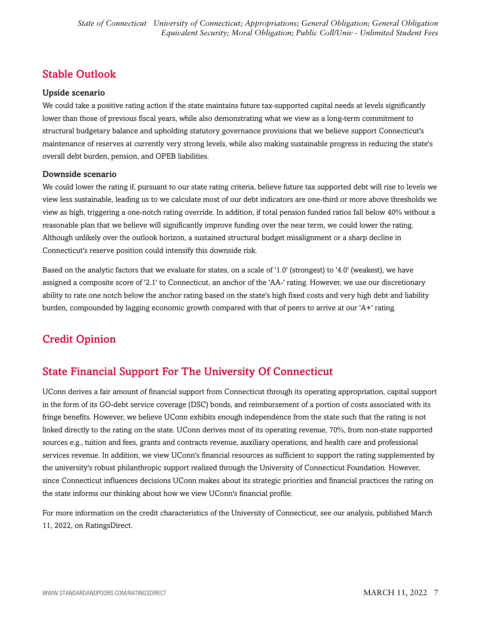## <span id="page-6-0"></span>Stable Outlook

#### Upside scenario

We could take a positive rating action if the state maintains future tax-supported capital needs at levels significantly lower than those of previous fiscal years, while also demonstrating what we view as a long-term commitment to structural budgetary balance and upholding statutory governance provisions that we believe support Connecticut's maintenance of reserves at currently very strong levels, while also making sustainable progress in reducing the state's overall debt burden, pension, and OPEB liabilities.

#### Downside scenario

We could lower the rating if, pursuant to our state rating criteria, believe future tax supported debt will rise to levels we view less sustainable, leading us to we calculate most of our debt indicators are one-third or more above thresholds we view as high, triggering a one-notch rating override. In addition, if total pension funded ratios fall below 40% without a reasonable plan that we believe will significantly improve funding over the near term, we could lower the rating. Although unlikely over the outlook horizon, a sustained structural budget misalignment or a sharp decline in Connecticut's reserve position could intensify this downside risk.

Based on the analytic factors that we evaluate for states, on a scale of '1.0' (strongest) to '4.0' (weakest), we have assigned a composite score of '2.1' to Connecticut, an anchor of the 'AA-' rating. However, we use our discretionary ability to rate one notch below the anchor rating based on the state's high fixed costs and very high debt and liability burden, compounded by lagging economic growth compared with that of peers to arrive at our 'A+' rating.

## <span id="page-6-1"></span>Credit Opinion

## <span id="page-6-2"></span>State Financial Support For The University Of Connecticut

UConn derives a fair amount of financial support from Connecticut through its operating appropriation, capital support in the form of its GO-debt service coverage (DSC) bonds, and reimbursement of a portion of costs associated with its fringe benefits. However, we believe UConn exhibits enough independence from the state such that the rating is not linked directly to the rating on the state. UConn derives most of its operating revenue, 70%, from non-state supported sources e.g., tuition and fees, grants and contracts revenue, auxiliary operations, and health care and professional services revenue. In addition, we view UConn's financial resources as sufficient to support the rating supplemented by the university's robust philanthropic support realized through the University of Connecticut Foundation. However, since Connecticut influences decisions UConn makes about its strategic priorities and financial practices the rating on the state informs our thinking about how we view UConn's financial profile.

For more information on the credit characteristics of the University of Connecticut, see our analysis, published March 11, 2022, on RatingsDirect.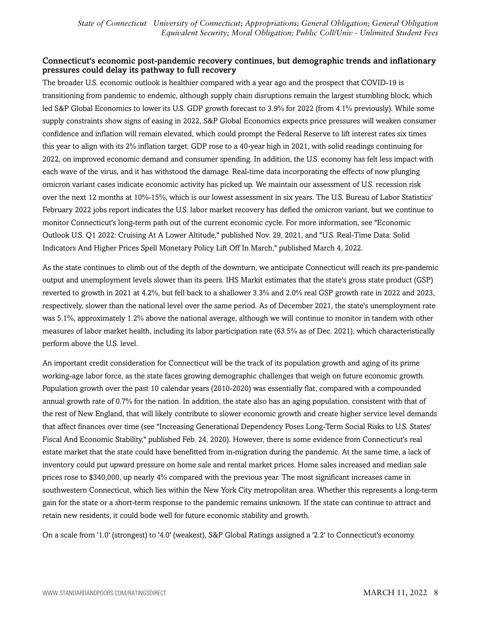#### Connecticut's economic post-pandemic recovery continues, but demographic trends and inflationary pressures could delay its pathway to full recovery

The broader U.S. economic outlook is healthier compared with a year ago and the prospect that COVID-19 is transitioning from pandemic to endemic, although supply chain disruptions remain the largest stumbling block, which led S&P Global Economics to lower its U.S. GDP growth forecast to 3.9% for 2022 (from 4.1% previously). While some supply constraints show signs of easing in 2022, S&P Global Economics expects price pressures will weaken consumer confidence and inflation will remain elevated, which could prompt the Federal Reserve to lift interest rates six times this year to align with its 2% inflation target. GDP rose to a 40-year high in 2021, with solid readings continuing for 2022, on improved economic demand and consumer spending. In addition, the U.S. economy has felt less impact with each wave of the virus, and it has withstood the damage. Real-time data incorporating the effects of now plunging omicron variant cases indicate economic activity has picked up. We maintain our assessment of U.S. recession risk over the next 12 months at 10%-15%, which is our lowest assessment in six years. The U.S. Bureau of Labor Statistics' February 2022 jobs report indicates the U.S. labor market recovery has defied the omicron variant, but we continue to monitor Connecticut's long-term path out of the current economic cycle. For more information, see "Economic Outlook U.S. Q1 2022: Cruising At A Lower Altitude," published Nov. 29, 2021, and "U.S. Real-Time Data: Solid Indicators And Higher Prices Spell Monetary Policy Lift Off In March," published March 4, 2022.

As the state continues to climb out of the depth of the downturn, we anticipate Connecticut will reach its pre-pandemic output and unemployment levels slower than its peers. IHS Markit estimates that the state's gross state product (GSP) reverted to growth in 2021 at 4.2%, but fell back to a shallower 3.3% and 2.0% real GSP growth rate in 2022 and 2023, respectively, slower than the national level over the same period. As of December 2021, the state's unemployment rate was 5.1%, approximately 1.2% above the national average, although we will continue to monitor in tandem with other measures of labor market health, including its labor participation rate (63.5% as of Dec. 2021), which characteristically perform above the U.S. level.

An important credit consideration for Connecticut will be the track of its population growth and aging of its prime working-age labor force, as the state faces growing demographic challenges that weigh on future economic growth. Population growth over the past 10 calendar years (2010-2020) was essentially flat, compared with a compounded annual growth rate of 0.7% for the nation. In addition, the state also has an aging population, consistent with that of the rest of New England, that will likely contribute to slower economic growth and create higher service level demands that affect finances over time (see "Increasing Generational Dependency Poses Long-Term Social Risks to U.S. States' Fiscal And Economic Stability," published Feb. 24, 2020). However, there is some evidence from Connecticut's real estate market that the state could have benefitted from in-migration during the pandemic. At the same time, a lack of inventory could put upward pressure on home sale and rental market prices. Home sales increased and median sale prices rose to \$340,000, up nearly 4% compared with the previous year. The most significant increases came in southwestern Connecticut, which lies within the New York City metropolitan area. Whether this represents a long-term gain for the state or a short-term response to the pandemic remains unknown. If the state can continue to attract and retain new residents, it could bode well for future economic stability and growth.

On a scale from '1.0' (strongest) to '4.0' (weakest), S&P Global Ratings assigned a '2.2' to Connecticut's economy.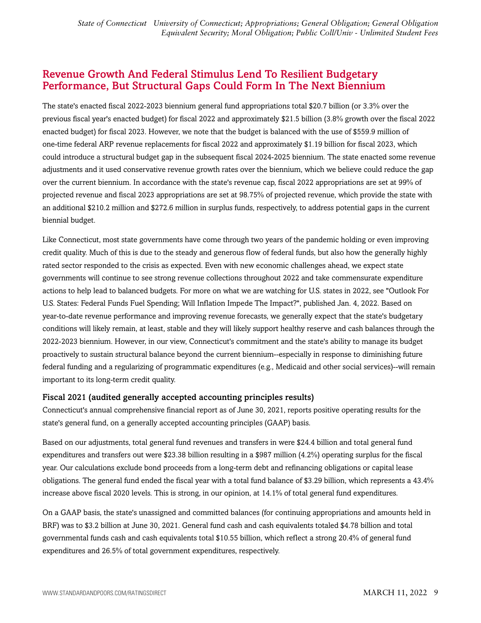### <span id="page-8-0"></span>Revenue Growth And Federal Stimulus Lend To Resilient Budgetary Performance, But Structural Gaps Could Form In The Next Biennium

The state's enacted fiscal 2022-2023 biennium general fund appropriations total \$20.7 billion (or 3.3% over the previous fiscal year's enacted budget) for fiscal 2022 and approximately \$21.5 billion (3.8% growth over the fiscal 2022 enacted budget) for fiscal 2023. However, we note that the budget is balanced with the use of \$559.9 million of one-time federal ARP revenue replacements for fiscal 2022 and approximately \$1.19 billion for fiscal 2023, which could introduce a structural budget gap in the subsequent fiscal 2024-2025 biennium. The state enacted some revenue adjustments and it used conservative revenue growth rates over the biennium, which we believe could reduce the gap over the current biennium. In accordance with the state's revenue cap, fiscal 2022 appropriations are set at 99% of projected revenue and fiscal 2023 appropriations are set at 98.75% of projected revenue, which provide the state with an additional \$210.2 million and \$272.6 million in surplus funds, respectively, to address potential gaps in the current biennial budget.

Like Connecticut, most state governments have come through two years of the pandemic holding or even improving credit quality. Much of this is due to the steady and generous flow of federal funds, but also how the generally highly rated sector responded to the crisis as expected. Even with new economic challenges ahead, we expect state governments will continue to see strong revenue collections throughout 2022 and take commensurate expenditure actions to help lead to balanced budgets. For more on what we are watching for U.S. states in 2022, see "Outlook For U.S. States: Federal Funds Fuel Spending; Will Inflation Impede The Impact?", published Jan. 4, 2022. Based on year-to-date revenue performance and improving revenue forecasts, we generally expect that the state's budgetary conditions will likely remain, at least, stable and they will likely support healthy reserve and cash balances through the 2022-2023 biennium. However, in our view, Connecticut's commitment and the state's ability to manage its budget proactively to sustain structural balance beyond the current biennium--especially in response to diminishing future federal funding and a regularizing of programmatic expenditures (e.g., Medicaid and other social services)--will remain important to its long-term credit quality.

#### Fiscal 2021 (audited generally accepted accounting principles results)

Connecticut's annual comprehensive financial report as of June 30, 2021, reports positive operating results for the state's general fund, on a generally accepted accounting principles (GAAP) basis.

Based on our adjustments, total general fund revenues and transfers in were \$24.4 billion and total general fund expenditures and transfers out were \$23.38 billion resulting in a \$987 million (4.2%) operating surplus for the fiscal year. Our calculations exclude bond proceeds from a long-term debt and refinancing obligations or capital lease obligations. The general fund ended the fiscal year with a total fund balance of \$3.29 billion, which represents a 43.4% increase above fiscal 2020 levels. This is strong, in our opinion, at 14.1% of total general fund expenditures.

On a GAAP basis, the state's unassigned and committed balances (for continuing appropriations and amounts held in BRF) was to \$3.2 billion at June 30, 2021. General fund cash and cash equivalents totaled \$4.78 billion and total governmental funds cash and cash equivalents total \$10.55 billion, which reflect a strong 20.4% of general fund expenditures and 26.5% of total government expenditures, respectively.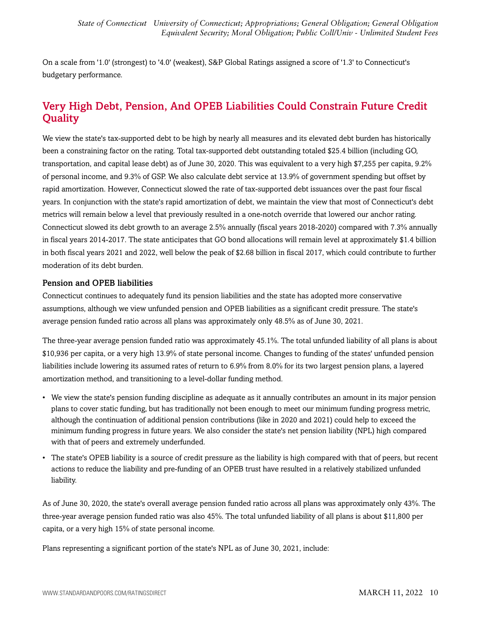On a scale from '1.0' (strongest) to '4.0' (weakest), S&P Global Ratings assigned a score of '1.3' to Connecticut's budgetary performance.

## <span id="page-9-0"></span>Very High Debt, Pension, And OPEB Liabilities Could Constrain Future Credit **Quality**

We view the state's tax-supported debt to be high by nearly all measures and its elevated debt burden has historically been a constraining factor on the rating. Total tax-supported debt outstanding totaled \$25.4 billion (including GO, transportation, and capital lease debt) as of June 30, 2020. This was equivalent to a very high \$7,255 per capita, 9.2% of personal income, and 9.3% of GSP. We also calculate debt service at 13.9% of government spending but offset by rapid amortization. However, Connecticut slowed the rate of tax-supported debt issuances over the past four fiscal years. In conjunction with the state's rapid amortization of debt, we maintain the view that most of Connecticut's debt metrics will remain below a level that previously resulted in a one-notch override that lowered our anchor rating. Connecticut slowed its debt growth to an average 2.5% annually (fiscal years 2018-2020) compared with 7.3% annually in fiscal years 2014-2017. The state anticipates that GO bond allocations will remain level at approximately \$1.4 billion in both fiscal years 2021 and 2022, well below the peak of \$2.68 billion in fiscal 2017, which could contribute to further moderation of its debt burden.

#### Pension and OPEB liabilities

Connecticut continues to adequately fund its pension liabilities and the state has adopted more conservative assumptions, although we view unfunded pension and OPEB liabilities as a significant credit pressure. The state's average pension funded ratio across all plans was approximately only 48.5% as of June 30, 2021.

The three-year average pension funded ratio was approximately 45.1%. The total unfunded liability of all plans is about \$10,936 per capita, or a very high 13.9% of state personal income. Changes to funding of the states' unfunded pension liabilities include lowering its assumed rates of return to 6.9% from 8.0% for its two largest pension plans, a layered amortization method, and transitioning to a level-dollar funding method.

- We view the state's pension funding discipline as adequate as it annually contributes an amount in its major pension plans to cover static funding, but has traditionally not been enough to meet our minimum funding progress metric, although the continuation of additional pension contributions (like in 2020 and 2021) could help to exceed the minimum funding progress in future years. We also consider the state's net pension liability (NPL) high compared with that of peers and extremely underfunded.
- The state's OPEB liability is a source of credit pressure as the liability is high compared with that of peers, but recent actions to reduce the liability and pre-funding of an OPEB trust have resulted in a relatively stabilized unfunded liability.

As of June 30, 2020, the state's overall average pension funded ratio across all plans was approximately only 43%. The three-year average pension funded ratio was also 45%. The total unfunded liability of all plans is about \$11,800 per capita, or a very high 15% of state personal income.

Plans representing a significant portion of the state's NPL as of June 30, 2021, include: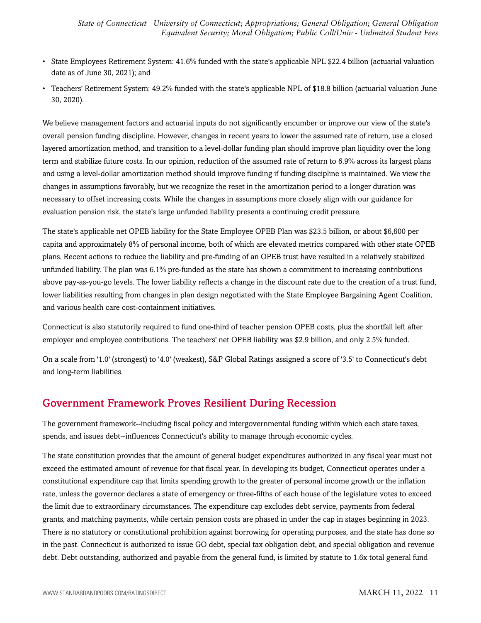- State Employees Retirement System: 41.6% funded with the state's applicable NPL \$22.4 billion (actuarial valuation date as of June 30, 2021); and
- Teachers' Retirement System: 49.2% funded with the state's applicable NPL of \$18.8 billion (actuarial valuation June 30, 2020).

We believe management factors and actuarial inputs do not significantly encumber or improve our view of the state's overall pension funding discipline. However, changes in recent years to lower the assumed rate of return, use a closed layered amortization method, and transition to a level-dollar funding plan should improve plan liquidity over the long term and stabilize future costs. In our opinion, reduction of the assumed rate of return to 6.9% across its largest plans and using a level-dollar amortization method should improve funding if funding discipline is maintained. We view the changes in assumptions favorably, but we recognize the reset in the amortization period to a longer duration was necessary to offset increasing costs. While the changes in assumptions more closely align with our guidance for evaluation pension risk, the state's large unfunded liability presents a continuing credit pressure.

The state's applicable net OPEB liability for the State Employee OPEB Plan was \$23.5 billion, or about \$6,600 per capita and approximately 8% of personal income, both of which are elevated metrics compared with other state OPEB plans. Recent actions to reduce the liability and pre-funding of an OPEB trust have resulted in a relatively stabilized unfunded liability. The plan was 6.1% pre-funded as the state has shown a commitment to increasing contributions above pay-as-you-go levels. The lower liability reflects a change in the discount rate due to the creation of a trust fund, lower liabilities resulting from changes in plan design negotiated with the State Employee Bargaining Agent Coalition, and various health care cost-containment initiatives.

Connecticut is also statutorily required to fund one-third of teacher pension OPEB costs, plus the shortfall left after employer and employee contributions. The teachers' net OPEB liability was \$2.9 billion, and only 2.5% funded.

On a scale from '1.0' (strongest) to '4.0' (weakest), S&P Global Ratings assigned a score of '3.5' to Connecticut's debt and long-term liabilities.

## <span id="page-10-0"></span>Government Framework Proves Resilient During Recession

The government framework--including fiscal policy and intergovernmental funding within which each state taxes, spends, and issues debt--influences Connecticut's ability to manage through economic cycles.

The state constitution provides that the amount of general budget expenditures authorized in any fiscal year must not exceed the estimated amount of revenue for that fiscal year. In developing its budget, Connecticut operates under a constitutional expenditure cap that limits spending growth to the greater of personal income growth or the inflation rate, unless the governor declares a state of emergency or three-fifths of each house of the legislature votes to exceed the limit due to extraordinary circumstances. The expenditure cap excludes debt service, payments from federal grants, and matching payments, while certain pension costs are phased in under the cap in stages beginning in 2023. There is no statutory or constitutional prohibition against borrowing for operating purposes, and the state has done so in the past. Connecticut is authorized to issue GO debt, special tax obligation debt, and special obligation and revenue debt. Debt outstanding, authorized and payable from the general fund, is limited by statute to 1.6x total general fund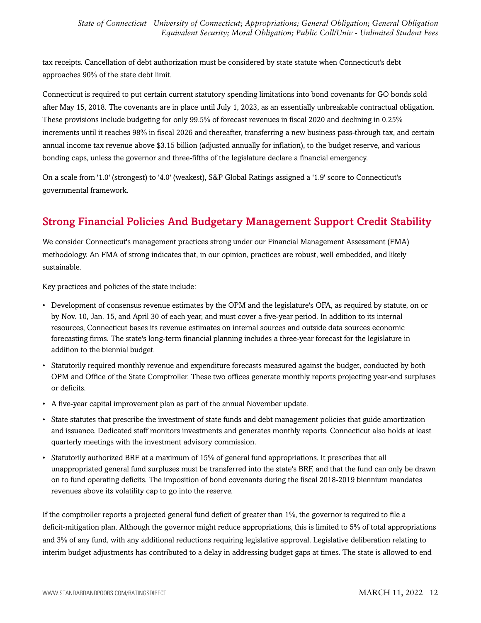tax receipts. Cancellation of debt authorization must be considered by state statute when Connecticut's debt approaches 90% of the state debt limit.

Connecticut is required to put certain current statutory spending limitations into bond covenants for GO bonds sold after May 15, 2018. The covenants are in place until July 1, 2023, as an essentially unbreakable contractual obligation. These provisions include budgeting for only 99.5% of forecast revenues in fiscal 2020 and declining in 0.25% increments until it reaches 98% in fiscal 2026 and thereafter, transferring a new business pass-through tax, and certain annual income tax revenue above \$3.15 billion (adjusted annually for inflation), to the budget reserve, and various bonding caps, unless the governor and three-fifths of the legislature declare a financial emergency.

On a scale from '1.0' (strongest) to '4.0' (weakest), S&P Global Ratings assigned a '1.9' score to Connecticut's governmental framework.

## <span id="page-11-0"></span>Strong Financial Policies And Budgetary Management Support Credit Stability

We consider Connecticut's management practices strong under our Financial Management Assessment (FMA) methodology. An FMA of strong indicates that, in our opinion, practices are robust, well embedded, and likely sustainable.

Key practices and policies of the state include:

- Development of consensus revenue estimates by the OPM and the legislature's OFA, as required by statute, on or by Nov. 10, Jan. 15, and April 30 of each year, and must cover a five-year period. In addition to its internal resources, Connecticut bases its revenue estimates on internal sources and outside data sources economic forecasting firms. The state's long-term financial planning includes a three-year forecast for the legislature in addition to the biennial budget.
- Statutorily required monthly revenue and expenditure forecasts measured against the budget, conducted by both OPM and Office of the State Comptroller. These two offices generate monthly reports projecting year-end surpluses or deficits.
- A five-year capital improvement plan as part of the annual November update.
- State statutes that prescribe the investment of state funds and debt management policies that guide amortization and issuance. Dedicated staff monitors investments and generates monthly reports. Connecticut also holds at least quarterly meetings with the investment advisory commission.
- Statutorily authorized BRF at a maximum of 15% of general fund appropriations. It prescribes that all unappropriated general fund surpluses must be transferred into the state's BRF, and that the fund can only be drawn on to fund operating deficits. The imposition of bond covenants during the fiscal 2018-2019 biennium mandates revenues above its volatility cap to go into the reserve.

If the comptroller reports a projected general fund deficit of greater than 1%, the governor is required to file a deficit-mitigation plan. Although the governor might reduce appropriations, this is limited to 5% of total appropriations and 3% of any fund, with any additional reductions requiring legislative approval. Legislative deliberation relating to interim budget adjustments has contributed to a delay in addressing budget gaps at times. The state is allowed to end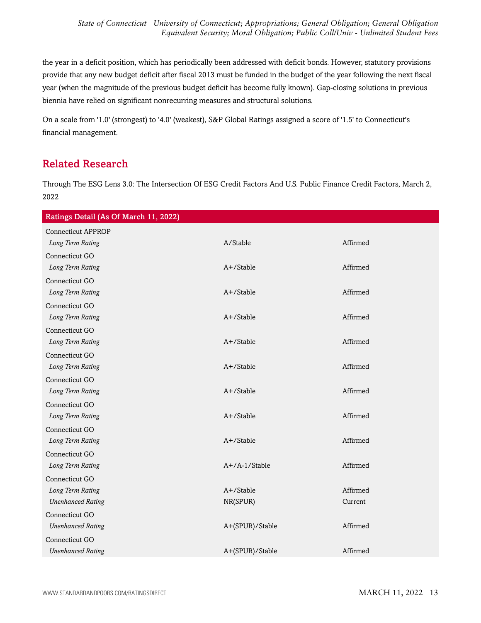the year in a deficit position, which has periodically been addressed with deficit bonds. However, statutory provisions provide that any new budget deficit after fiscal 2013 must be funded in the budget of the year following the next fiscal year (when the magnitude of the previous budget deficit has become fully known). Gap-closing solutions in previous biennia have relied on significant nonrecurring measures and structural solutions.

On a scale from '1.0' (strongest) to '4.0' (weakest), S&P Global Ratings assigned a score of '1.5' to Connecticut's financial management.

### <span id="page-12-0"></span>Related Research

Through The ESG Lens 3.0: The Intersection Of ESG Credit Factors And U.S. Public Finance Credit Factors, March 2, 2022

| Ratings Detail (As Of March 11, 2022) |                  |          |
|---------------------------------------|------------------|----------|
| <b>Connecticut APPROP</b>             |                  |          |
| Long Term Rating                      | A/Stable         | Affirmed |
| Connecticut GO                        |                  |          |
| Long Term Rating                      | $A+$ /Stable     | Affirmed |
| Connecticut GO                        |                  |          |
| Long Term Rating                      | A+/Stable        | Affirmed |
| Connecticut GO                        |                  |          |
| Long Term Rating                      | A+/Stable        | Affirmed |
| Connecticut GO                        |                  |          |
| Long Term Rating                      | $A+$ /Stable     | Affirmed |
| Connecticut GO                        |                  |          |
| Long Term Rating                      | $A+$ /Stable     | Affirmed |
| Connecticut GO                        |                  |          |
| Long Term Rating                      | A+/Stable        | Affirmed |
| Connecticut GO                        |                  |          |
| Long Term Rating                      | A+/Stable        | Affirmed |
| Connecticut GO                        |                  |          |
| Long Term Rating                      | $A+$ /Stable     | Affirmed |
| Connecticut GO                        |                  |          |
| Long Term Rating                      | $A+/A-1/S$ table | Affirmed |
| Connecticut GO                        |                  |          |
| Long Term Rating                      | A+/Stable        | Affirmed |
| <b>Unenhanced Rating</b>              | NR(SPUR)         | Current  |
| Connecticut GO                        |                  |          |
| <b>Unenhanced Rating</b>              | A+(SPUR)/Stable  | Affirmed |
| Connecticut GO                        |                  |          |
| <b>Unenhanced Rating</b>              | A+(SPUR)/Stable  | Affirmed |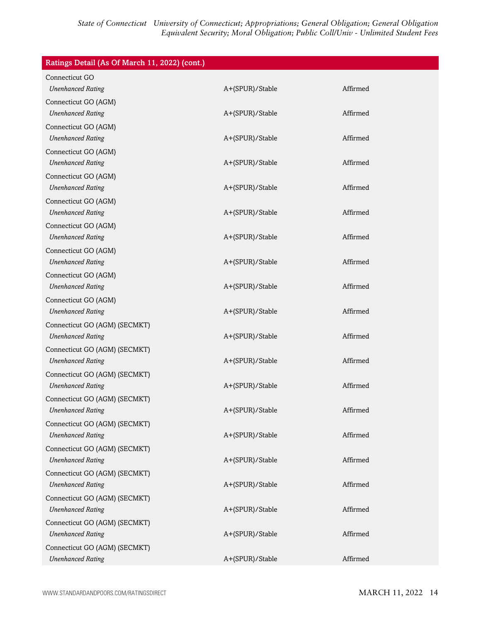| Ratings Detail (As Of March 11, 2022) (cont.) |                 |          |
|-----------------------------------------------|-----------------|----------|
| Connecticut GO                                |                 |          |
| <b>Unenhanced Rating</b>                      | A+(SPUR)/Stable | Affirmed |
| Connecticut GO (AGM)                          |                 |          |
| <b>Unenhanced Rating</b>                      | A+(SPUR)/Stable | Affirmed |
| Connecticut GO (AGM)                          |                 |          |
| <b>Unenhanced Rating</b>                      | A+(SPUR)/Stable | Affirmed |
| Connecticut GO (AGM)                          |                 |          |
| <b>Unenhanced Rating</b>                      | A+(SPUR)/Stable | Affirmed |
| Connecticut GO (AGM)                          |                 |          |
| <b>Unenhanced Rating</b>                      | A+(SPUR)/Stable | Affirmed |
| Connecticut GO (AGM)                          |                 |          |
| <b>Unenhanced Rating</b>                      | A+(SPUR)/Stable | Affirmed |
| Connecticut GO (AGM)                          |                 |          |
| <b>Unenhanced Rating</b>                      | A+(SPUR)/Stable | Affirmed |
| Connecticut GO (AGM)                          |                 |          |
| <b>Unenhanced Rating</b>                      | A+(SPUR)/Stable | Affirmed |
| Connecticut GO (AGM)                          |                 |          |
| <b>Unenhanced Rating</b>                      | A+(SPUR)/Stable | Affirmed |
| Connecticut GO (AGM)                          |                 |          |
| <b>Unenhanced Rating</b>                      | A+(SPUR)/Stable | Affirmed |
| Connecticut GO (AGM) (SECMKT)                 |                 |          |
| <b>Unenhanced Rating</b>                      | A+(SPUR)/Stable | Affirmed |
| Connecticut GO (AGM) (SECMKT)                 |                 |          |
| <b>Unenhanced Rating</b>                      | A+(SPUR)/Stable | Affirmed |
| Connecticut GO (AGM) (SECMKT)                 |                 |          |
| <b>Unenhanced Rating</b>                      | A+(SPUR)/Stable | Affirmed |
| Connecticut GO (AGM) (SECMKT)                 |                 |          |
| <b>Unenhanced Rating</b>                      | A+(SPUR)/Stable | Affirmed |
| Connecticut GO (AGM) (SECMKT)                 |                 |          |
| <b>Unenhanced Rating</b>                      | A+(SPUR)/Stable | Affirmed |
| Connecticut GO (AGM) (SECMKT)                 |                 |          |
| <b>Unenhanced Rating</b>                      | A+(SPUR)/Stable | Affirmed |
| Connecticut GO (AGM) (SECMKT)                 |                 |          |
| <b>Unenhanced Rating</b>                      | A+(SPUR)/Stable | Affirmed |
| Connecticut GO (AGM) (SECMKT)                 |                 |          |
| <b>Unenhanced Rating</b>                      | A+(SPUR)/Stable | Affirmed |
| Connecticut GO (AGM) (SECMKT)                 |                 |          |
| <b>Unenhanced Rating</b>                      | A+(SPUR)/Stable | Affirmed |
| Connecticut GO (AGM) (SECMKT)                 |                 |          |
| <b>Unenhanced Rating</b>                      | A+(SPUR)/Stable | Affirmed |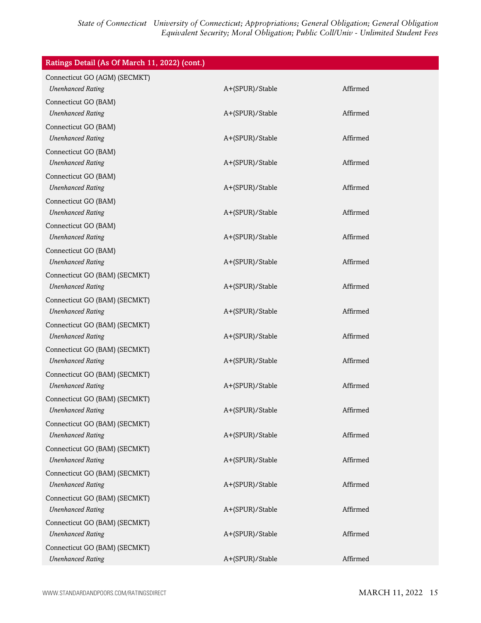| Ratings Detail (As Of March 11, 2022) (cont.)             |                 |          |
|-----------------------------------------------------------|-----------------|----------|
| Connecticut GO (AGM) (SECMKT)                             |                 |          |
| <b>Unenhanced Rating</b>                                  | A+(SPUR)/Stable | Affirmed |
| Connecticut GO (BAM)                                      |                 |          |
| <b>Unenhanced Rating</b>                                  | A+(SPUR)/Stable | Affirmed |
| Connecticut GO (BAM)<br><b>Unenhanced Rating</b>          | A+(SPUR)/Stable | Affirmed |
| Connecticut GO (BAM)                                      |                 |          |
| <b>Unenhanced Rating</b>                                  | A+(SPUR)/Stable | Affirmed |
| Connecticut GO (BAM)                                      |                 |          |
| <b>Unenhanced Rating</b>                                  | A+(SPUR)/Stable | Affirmed |
| Connecticut GO (BAM)                                      |                 |          |
| <b>Unenhanced Rating</b>                                  | A+(SPUR)/Stable | Affirmed |
| Connecticut GO (BAM)                                      |                 |          |
| <b>Unenhanced Rating</b>                                  | A+(SPUR)/Stable | Affirmed |
| Connecticut GO (BAM)<br><b>Unenhanced Rating</b>          | A+(SPUR)/Stable | Affirmed |
| Connecticut GO (BAM) (SECMKT)                             |                 |          |
| <b>Unenhanced Rating</b>                                  | A+(SPUR)/Stable | Affirmed |
| Connecticut GO (BAM) (SECMKT)                             |                 |          |
| <b>Unenhanced Rating</b>                                  | A+(SPUR)/Stable | Affirmed |
| Connecticut GO (BAM) (SECMKT)                             |                 |          |
| <b>Unenhanced Rating</b>                                  | A+(SPUR)/Stable | Affirmed |
| Connecticut GO (BAM) (SECMKT)                             |                 |          |
| <b>Unenhanced Rating</b>                                  | A+(SPUR)/Stable | Affirmed |
| Connecticut GO (BAM) (SECMKT)                             |                 |          |
| <b>Unenhanced Rating</b>                                  | A+(SPUR)/Stable | Affirmed |
| Connecticut GO (BAM) (SECMKT)<br><b>Unenhanced Rating</b> | A+(SPUR)/Stable | Affirmed |
| Connecticut GO (BAM) (SECMKT)                             |                 |          |
| <b>Unenhanced Rating</b>                                  | A+(SPUR)/Stable | Affirmed |
| Connecticut GO (BAM) (SECMKT)                             |                 |          |
| <b>Unenhanced Rating</b>                                  | A+(SPUR)/Stable | Affirmed |
| Connecticut GO (BAM) (SECMKT)                             |                 |          |
| <b>Unenhanced Rating</b>                                  | A+(SPUR)/Stable | Affirmed |
| Connecticut GO (BAM) (SECMKT)                             |                 |          |
| <b>Unenhanced Rating</b>                                  | A+(SPUR)/Stable | Affirmed |
| Connecticut GO (BAM) (SECMKT)                             |                 |          |
| <b>Unenhanced Rating</b>                                  | A+(SPUR)/Stable | Affirmed |
| Connecticut GO (BAM) (SECMKT)                             |                 |          |
| <b>Unenhanced Rating</b>                                  | A+(SPUR)/Stable | Affirmed |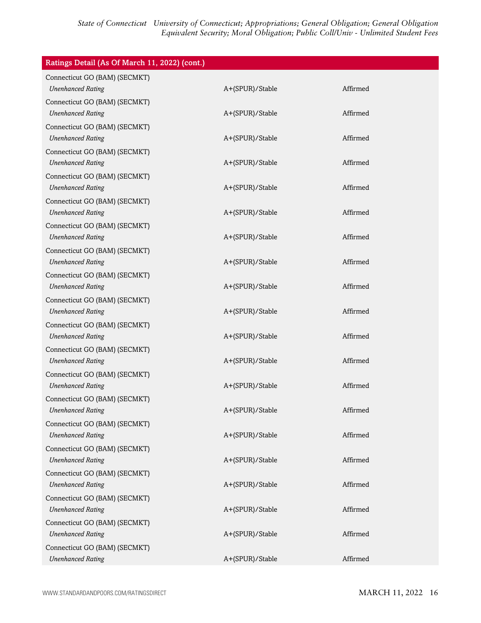| Ratings Detail (As Of March 11, 2022) (cont.)             |                 |          |
|-----------------------------------------------------------|-----------------|----------|
| Connecticut GO (BAM) (SECMKT)<br><b>Unenhanced Rating</b> | A+(SPUR)/Stable | Affirmed |
| Connecticut GO (BAM) (SECMKT)<br><b>Unenhanced Rating</b> | A+(SPUR)/Stable | Affirmed |
| Connecticut GO (BAM) (SECMKT)<br><b>Unenhanced Rating</b> | A+(SPUR)/Stable | Affirmed |
| Connecticut GO (BAM) (SECMKT)<br><b>Unenhanced Rating</b> | A+(SPUR)/Stable | Affirmed |
| Connecticut GO (BAM) (SECMKT)<br><b>Unenhanced Rating</b> | A+(SPUR)/Stable | Affirmed |
| Connecticut GO (BAM) (SECMKT)<br><b>Unenhanced Rating</b> | A+(SPUR)/Stable | Affirmed |
| Connecticut GO (BAM) (SECMKT)<br><b>Unenhanced Rating</b> | A+(SPUR)/Stable | Affirmed |
| Connecticut GO (BAM) (SECMKT)<br><b>Unenhanced Rating</b> | A+(SPUR)/Stable | Affirmed |
| Connecticut GO (BAM) (SECMKT)<br><b>Unenhanced Rating</b> | A+(SPUR)/Stable | Affirmed |
| Connecticut GO (BAM) (SECMKT)<br><b>Unenhanced Rating</b> | A+(SPUR)/Stable | Affirmed |
| Connecticut GO (BAM) (SECMKT)<br><b>Unenhanced Rating</b> | A+(SPUR)/Stable | Affirmed |
| Connecticut GO (BAM) (SECMKT)<br><b>Unenhanced Rating</b> | A+(SPUR)/Stable | Affirmed |
| Connecticut GO (BAM) (SECMKT)<br><b>Unenhanced Rating</b> | A+(SPUR)/Stable | Affirmed |
| Connecticut GO (BAM) (SECMKT)<br><b>Unenhanced Rating</b> | A+(SPUR)/Stable | Affirmed |
| Connecticut GO (BAM) (SECMKT)<br><b>Unenhanced Rating</b> | A+(SPUR)/Stable | Affirmed |
| Connecticut GO (BAM) (SECMKT)<br><b>Unenhanced Rating</b> | A+(SPUR)/Stable | Affirmed |
| Connecticut GO (BAM) (SECMKT)<br><b>Unenhanced Rating</b> | A+(SPUR)/Stable | Affirmed |
| Connecticut GO (BAM) (SECMKT)<br><b>Unenhanced Rating</b> | A+(SPUR)/Stable | Affirmed |
| Connecticut GO (BAM) (SECMKT)<br><b>Unenhanced Rating</b> | A+(SPUR)/Stable | Affirmed |
| Connecticut GO (BAM) (SECMKT)<br><b>Unenhanced Rating</b> | A+(SPUR)/Stable | Affirmed |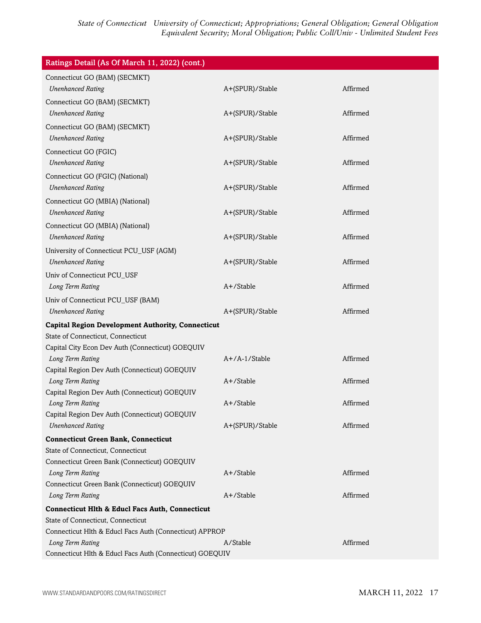| Ratings Detail (As Of March 11, 2022) (cont.)                     |                 |          |
|-------------------------------------------------------------------|-----------------|----------|
| Connecticut GO (BAM) (SECMKT)                                     |                 |          |
| <b>Unenhanced Rating</b>                                          | A+(SPUR)/Stable | Affirmed |
| Connecticut GO (BAM) (SECMKT)                                     |                 |          |
| <b>Unenhanced Rating</b>                                          | A+(SPUR)/Stable | Affirmed |
| Connecticut GO (BAM) (SECMKT)                                     |                 |          |
| <b>Unenhanced Rating</b>                                          | A+(SPUR)/Stable | Affirmed |
| Connecticut GO (FGIC)                                             |                 |          |
| <b>Unenhanced Rating</b>                                          | A+(SPUR)/Stable | Affirmed |
| Connecticut GO (FGIC) (National)                                  |                 |          |
| <b>Unenhanced Rating</b>                                          | A+(SPUR)/Stable | Affirmed |
| Connecticut GO (MBIA) (National)                                  |                 |          |
| <b>Unenhanced Rating</b>                                          | A+(SPUR)/Stable | Affirmed |
| Connecticut GO (MBIA) (National)                                  |                 |          |
| <b>Unenhanced Rating</b>                                          | A+(SPUR)/Stable | Affirmed |
| University of Connecticut PCU_USF (AGM)                           |                 |          |
| <b>Unenhanced Rating</b>                                          | A+(SPUR)/Stable | Affirmed |
| Univ of Connecticut PCU_USF                                       |                 |          |
| Long Term Rating                                                  | $A+$ /Stable    | Affirmed |
| Univ of Connecticut PCU_USF (BAM)                                 |                 |          |
| <b>Unenhanced Rating</b>                                          | A+(SPUR)/Stable | Affirmed |
| <b>Capital Region Development Authority, Connecticut</b>          |                 |          |
| State of Connecticut, Connecticut                                 |                 |          |
| Capital City Econ Dev Auth (Connecticut) GOEQUIV                  |                 |          |
| Long Term Rating                                                  | $A+/A-1/Stable$ | Affirmed |
| Capital Region Dev Auth (Connecticut) GOEQUIV                     |                 |          |
| Long Term Rating                                                  | $A+$ /Stable    | Affirmed |
| Capital Region Dev Auth (Connecticut) GOEQUIV                     |                 |          |
| Long Term Rating<br>Capital Region Dev Auth (Connecticut) GOEQUIV | A+/Stable       | Affirmed |
| <b>Unenhanced Rating</b>                                          | A+(SPUR)/Stable | Affirmed |
| <b>Connecticut Green Bank, Connecticut</b>                        |                 |          |
| State of Connecticut, Connecticut                                 |                 |          |
| Connecticut Green Bank (Connecticut) GOEQUIV                      |                 |          |
| Long Term Rating                                                  | A+/Stable       | Affirmed |
| Connecticut Green Bank (Connecticut) GOEQUIV                      |                 |          |
| Long Term Rating                                                  | A+/Stable       | Affirmed |
| <b>Connecticut Hlth &amp; Educl Facs Auth, Connecticut</b>        |                 |          |
| State of Connecticut, Connecticut                                 |                 |          |
| Connecticut Hlth & Educl Facs Auth (Connecticut) APPROP           |                 |          |
| Long Term Rating                                                  | A/Stable        | Affirmed |
| Connecticut Hlth & Educl Facs Auth (Connecticut) GOEQUIV          |                 |          |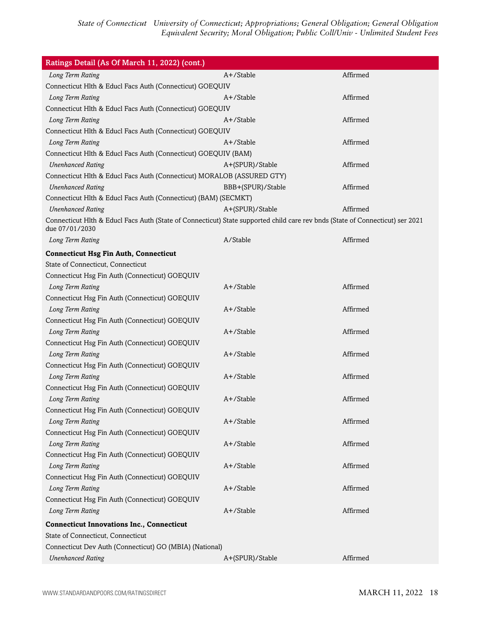| Ratings Detail (As Of March 11, 2022) (cont.)                                                                                                   |                   |          |
|-------------------------------------------------------------------------------------------------------------------------------------------------|-------------------|----------|
| Long Term Rating                                                                                                                                | A+/Stable         | Affirmed |
| Connecticut Hlth & Educl Facs Auth (Connecticut) GOEQUIV                                                                                        |                   |          |
| Long Term Rating                                                                                                                                | A+/Stable         | Affirmed |
| Connecticut Hlth & Educl Facs Auth (Connecticut) GOEQUIV                                                                                        |                   |          |
| Long Term Rating                                                                                                                                | A+/Stable         | Affirmed |
| Connecticut Hlth & Educl Facs Auth (Connecticut) GOEQUIV                                                                                        |                   |          |
| Long Term Rating                                                                                                                                | $A+$ /Stable      | Affirmed |
| Connecticut Hlth & Educl Facs Auth (Connecticut) GOEQUIV (BAM)                                                                                  |                   |          |
| <b>Unenhanced Rating</b>                                                                                                                        | A+(SPUR)/Stable   | Affirmed |
| Connecticut Hlth & Educl Facs Auth (Connecticut) MORALOB (ASSURED GTY)                                                                          |                   |          |
| <b>Unenhanced Rating</b>                                                                                                                        | BBB+(SPUR)/Stable | Affirmed |
| Connecticut Hlth & Educl Facs Auth (Connecticut) (BAM) (SECMKT)                                                                                 |                   |          |
| <b>Unenhanced Rating</b>                                                                                                                        | A+(SPUR)/Stable   | Affirmed |
| Connecticut Hlth & Educl Facs Auth (State of Connecticut) State supported child care rev bnds (State of Connecticut) ser 2021<br>due 07/01/2030 |                   |          |
| Long Term Rating                                                                                                                                | A/Stable          | Affirmed |
| <b>Connecticut Hsg Fin Auth, Connecticut</b>                                                                                                    |                   |          |
| State of Connecticut, Connecticut                                                                                                               |                   |          |
| Connecticut Hsg Fin Auth (Connecticut) GOEQUIV                                                                                                  |                   |          |
| Long Term Rating                                                                                                                                | A+/Stable         | Affirmed |
| Connecticut Hsg Fin Auth (Connecticut) GOEQUIV                                                                                                  |                   |          |
| Long Term Rating                                                                                                                                | A+/Stable         | Affirmed |
| Connecticut Hsg Fin Auth (Connecticut) GOEQUIV                                                                                                  |                   |          |
| Long Term Rating                                                                                                                                | A+/Stable         | Affirmed |
| Connecticut Hsg Fin Auth (Connecticut) GOEQUIV                                                                                                  |                   |          |
| Long Term Rating                                                                                                                                | A+/Stable         | Affirmed |
| Connecticut Hsg Fin Auth (Connecticut) GOEQUIV                                                                                                  |                   |          |
| Long Term Rating                                                                                                                                | A+/Stable         | Affirmed |
| Connecticut Hsg Fin Auth (Connecticut) GOEQUIV                                                                                                  |                   |          |
| Long Term Rating                                                                                                                                | A+/Stable         | Affirmed |
| Connecticut Hsg Fin Auth (Connecticut) GOEQUIV                                                                                                  |                   |          |
| Long Term Rating                                                                                                                                | A+/Stable         | Affirmed |
| Connecticut Hsg Fin Auth (Connecticut) GOEQUIV                                                                                                  |                   |          |
| Long Term Rating                                                                                                                                | A+/Stable         | Affirmed |
| Connecticut Hsg Fin Auth (Connecticut) GOEQUIV                                                                                                  |                   |          |
| Long Term Rating                                                                                                                                | A+/Stable         | Affirmed |
| Connecticut Hsg Fin Auth (Connecticut) GOEQUIV                                                                                                  |                   |          |
| Long Term Rating                                                                                                                                | A+/Stable         | Affirmed |
| Connecticut Hsg Fin Auth (Connecticut) GOEQUIV                                                                                                  |                   |          |
| Long Term Rating                                                                                                                                | A+/Stable         | Affirmed |
| <b>Connecticut Innovations Inc., Connecticut</b>                                                                                                |                   |          |
| State of Connecticut, Connecticut                                                                                                               |                   |          |
| Connecticut Dev Auth (Connecticut) GO (MBIA) (National)                                                                                         |                   |          |
| <b>Unenhanced Rating</b>                                                                                                                        | A+(SPUR)/Stable   | Affirmed |
|                                                                                                                                                 |                   |          |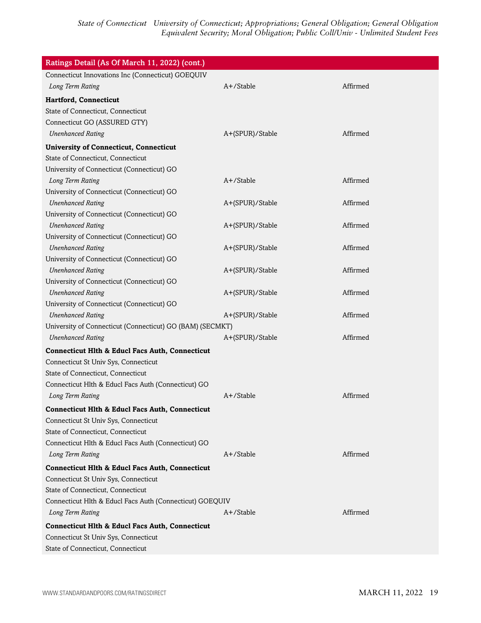| Ratings Detail (As Of March 11, 2022) (cont.)                          |                 |          |
|------------------------------------------------------------------------|-----------------|----------|
| Connecticut Innovations Inc (Connecticut) GOEQUIV                      |                 |          |
| Long Term Rating                                                       | A+/Stable       | Affirmed |
| Hartford, Connecticut                                                  |                 |          |
| State of Connecticut, Connecticut                                      |                 |          |
| Connecticut GO (ASSURED GTY)                                           |                 |          |
| <b>Unenhanced Rating</b>                                               | A+(SPUR)/Stable | Affirmed |
| <b>University of Connecticut, Connecticut</b>                          |                 |          |
| State of Connecticut, Connecticut                                      |                 |          |
| University of Connecticut (Connecticut) GO                             |                 |          |
| Long Term Rating                                                       | A+/Stable       | Affirmed |
| University of Connecticut (Connecticut) GO                             |                 |          |
| <b>Unenhanced Rating</b>                                               | A+(SPUR)/Stable | Affirmed |
| University of Connecticut (Connecticut) GO                             |                 |          |
| <b>Unenhanced Rating</b>                                               | A+(SPUR)/Stable | Affirmed |
| University of Connecticut (Connecticut) GO                             |                 |          |
| <b>Unenhanced Rating</b>                                               | A+(SPUR)/Stable | Affirmed |
| University of Connecticut (Connecticut) GO                             |                 |          |
| <b>Unenhanced Rating</b><br>University of Connecticut (Connecticut) GO | A+(SPUR)/Stable | Affirmed |
| <b>Unenhanced Rating</b>                                               | A+(SPUR)/Stable | Affirmed |
| University of Connecticut (Connecticut) GO                             |                 |          |
| <b>Unenhanced Rating</b>                                               | A+(SPUR)/Stable | Affirmed |
| University of Connecticut (Connecticut) GO (BAM) (SECMKT)              |                 |          |
| <b>Unenhanced Rating</b>                                               | A+(SPUR)/Stable | Affirmed |
| <b>Connecticut Hlth &amp; Educl Facs Auth, Connecticut</b>             |                 |          |
| Connecticut St Univ Sys, Connecticut                                   |                 |          |
| State of Connecticut, Connecticut                                      |                 |          |
| Connecticut Hlth & Educl Facs Auth (Connecticut) GO                    |                 |          |
| Long Term Rating                                                       | $A+$ /Stable    | Affirmed |
| <b>Connecticut Hlth &amp; Educl Facs Auth, Connecticut</b>             |                 |          |
| Connecticut St Univ Sys, Connecticut                                   |                 |          |
| State of Connecticut, Connecticut                                      |                 |          |
| Connecticut Hlth & Educl Facs Auth (Connecticut) GO                    |                 |          |
| Long Term Rating                                                       | A+/Stable       | Affirmed |
| <b>Connecticut Hlth &amp; Educl Facs Auth, Connecticut</b>             |                 |          |
| Connecticut St Univ Sys, Connecticut                                   |                 |          |
| State of Connecticut, Connecticut                                      |                 |          |
| Connecticut Hlth & Educl Facs Auth (Connecticut) GOEQUIV               |                 |          |
| Long Term Rating                                                       | $A+$ /Stable    | Affirmed |
| <b>Connecticut Hlth &amp; Educl Facs Auth, Connecticut</b>             |                 |          |
| Connecticut St Univ Sys, Connecticut                                   |                 |          |
| State of Connecticut, Connecticut                                      |                 |          |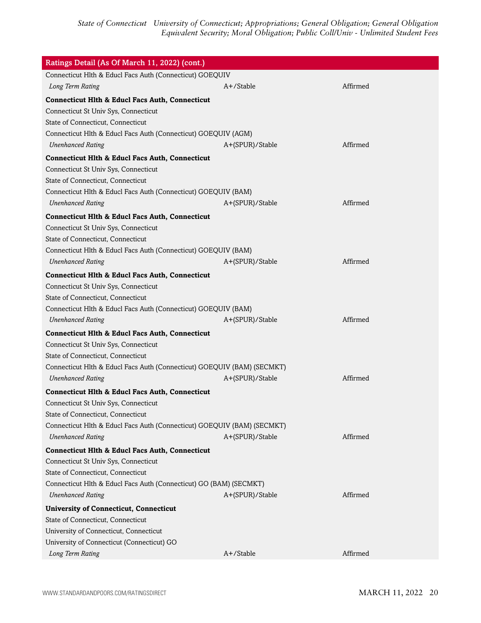| Ratings Detail (As Of March 11, 2022) (cont.)                                                                                                                                                                                         |                 |          |  |
|---------------------------------------------------------------------------------------------------------------------------------------------------------------------------------------------------------------------------------------|-----------------|----------|--|
| Connecticut Hlth & Educl Facs Auth (Connecticut) GOEQUIV                                                                                                                                                                              |                 |          |  |
| Long Term Rating                                                                                                                                                                                                                      | $A+$ /Stable    | Affirmed |  |
| <b>Connecticut Hlth &amp; Educl Facs Auth, Connecticut</b><br>Connecticut St Univ Sys, Connecticut<br>State of Connecticut, Connecticut<br>Connecticut Hlth & Educl Facs Auth (Connecticut) GOEQUIV (AGM)                             |                 |          |  |
| <b>Unenhanced Rating</b>                                                                                                                                                                                                              |                 | Affirmed |  |
|                                                                                                                                                                                                                                       | A+(SPUR)/Stable |          |  |
| <b>Connecticut Hlth &amp; Educl Facs Auth, Connecticut</b><br>Connecticut St Univ Sys, Connecticut<br>State of Connecticut, Connecticut<br>Connecticut Hlth & Educl Facs Auth (Connecticut) GOEQUIV (BAM)                             |                 |          |  |
| <b>Unenhanced Rating</b>                                                                                                                                                                                                              | A+(SPUR)/Stable | Affirmed |  |
| <b>Connecticut Hlth &amp; Educl Facs Auth, Connecticut</b><br>Connecticut St Univ Sys, Connecticut<br>State of Connecticut, Connecticut<br>Connecticut Hlth & Educl Facs Auth (Connecticut) GOEQUIV (BAM)<br><b>Unenhanced Rating</b> | A+(SPUR)/Stable | Affirmed |  |
| <b>Connecticut Hlth &amp; Educl Facs Auth, Connecticut</b>                                                                                                                                                                            |                 |          |  |
| Connecticut St Univ Sys, Connecticut<br>State of Connecticut, Connecticut<br>Connecticut Hlth & Educl Facs Auth (Connecticut) GOEQUIV (BAM)<br><b>Unenhanced Rating</b>                                                               | A+(SPUR)/Stable | Affirmed |  |
| <b>Connecticut Hlth &amp; Educl Facs Auth, Connecticut</b>                                                                                                                                                                            |                 |          |  |
| Connecticut St Univ Sys, Connecticut<br>State of Connecticut, Connecticut<br>Connecticut Hlth & Educl Facs Auth (Connecticut) GOEQUIV (BAM) (SECMKT)<br><b>Unenhanced Rating</b>                                                      | A+(SPUR)/Stable | Affirmed |  |
| <b>Connecticut Hlth &amp; Educl Facs Auth, Connecticut</b>                                                                                                                                                                            |                 |          |  |
| Connecticut St Univ Sys, Connecticut<br>State of Connecticut, Connecticut<br>Connecticut Hlth & Educl Facs Auth (Connecticut) GOEQUIV (BAM) (SECMKT)<br><b>Unenhanced Rating</b>                                                      | A+(SPUR)/Stable | Affirmed |  |
| <b>Connecticut Hlth &amp; Educl Facs Auth, Connecticut</b>                                                                                                                                                                            |                 |          |  |
| Connecticut St Univ Sys, Connecticut<br>State of Connecticut, Connecticut<br>Connecticut Hlth & Educl Facs Auth (Connecticut) GO (BAM) (SECMKT)<br><b>Unenhanced Rating</b>                                                           | A+(SPUR)/Stable | Affirmed |  |
| <b>University of Connecticut, Connecticut</b>                                                                                                                                                                                         |                 |          |  |
| State of Connecticut, Connecticut<br>University of Connecticut, Connecticut<br>University of Connecticut (Connecticut) GO                                                                                                             |                 |          |  |
| Long Term Rating                                                                                                                                                                                                                      | A+/Stable       | Affirmed |  |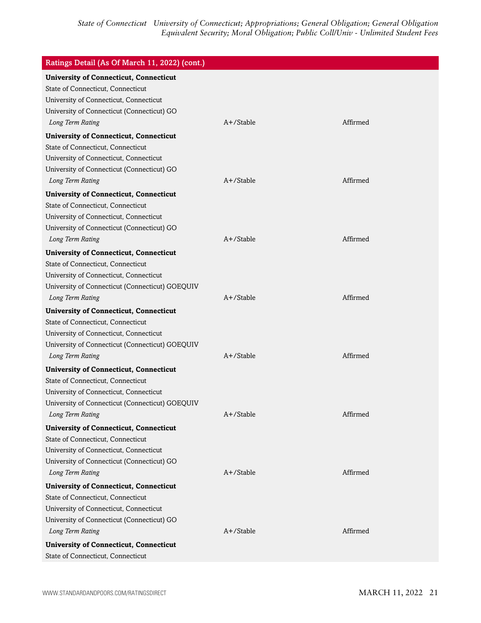| Ratings Detail (As Of March 11, 2022) (cont.)                                      |              |          |
|------------------------------------------------------------------------------------|--------------|----------|
| <b>University of Connecticut, Connecticut</b><br>State of Connecticut, Connecticut |              |          |
| University of Connecticut, Connecticut                                             |              |          |
| University of Connecticut (Connecticut) GO                                         |              |          |
| Long Term Rating                                                                   | $A+$ /Stable | Affirmed |
| <b>University of Connecticut, Connecticut</b>                                      |              |          |
| State of Connecticut, Connecticut                                                  |              |          |
| University of Connecticut, Connecticut                                             |              |          |
| University of Connecticut (Connecticut) GO                                         |              |          |
| Long Term Rating                                                                   | $A+$ /Stable | Affirmed |
| <b>University of Connecticut, Connecticut</b>                                      |              |          |
| State of Connecticut, Connecticut                                                  |              |          |
| University of Connecticut, Connecticut                                             |              |          |
| University of Connecticut (Connecticut) GO                                         |              |          |
| Long Term Rating                                                                   | A+/Stable    | Affirmed |
| <b>University of Connecticut, Connecticut</b>                                      |              |          |
| State of Connecticut, Connecticut                                                  |              |          |
| University of Connecticut, Connecticut                                             |              |          |
| University of Connecticut (Connecticut) GOEQUIV                                    |              |          |
| Long Term Rating                                                                   | $A+$ /Stable | Affirmed |
| <b>University of Connecticut, Connecticut</b>                                      |              |          |
| State of Connecticut, Connecticut                                                  |              |          |
| University of Connecticut, Connecticut                                             |              |          |
| University of Connecticut (Connecticut) GOEQUIV                                    |              |          |
| Long Term Rating                                                                   | A+/Stable    | Affirmed |
| <b>University of Connecticut, Connecticut</b>                                      |              |          |
| State of Connecticut, Connecticut                                                  |              |          |
| University of Connecticut, Connecticut                                             |              |          |
| University of Connecticut (Connecticut) GOEQUIV                                    |              |          |
| Long Term Rating                                                                   | A+/Stable    | Affirmed |
| <b>University of Connecticut, Connecticut</b>                                      |              |          |
| State of Connecticut, Connecticut                                                  |              |          |
| University of Connecticut, Connecticut                                             |              |          |
| University of Connecticut (Connecticut) GO                                         |              |          |
| Long Term Rating                                                                   | A+/Stable    | Affirmed |
| <b>University of Connecticut, Connecticut</b>                                      |              |          |
| State of Connecticut, Connecticut                                                  |              |          |
| University of Connecticut, Connecticut                                             |              |          |
| University of Connecticut (Connecticut) GO                                         |              |          |
| Long Term Rating                                                                   | $A+$ /Stable | Affirmed |
| <b>University of Connecticut, Connecticut</b>                                      |              |          |
| State of Connecticut, Connecticut                                                  |              |          |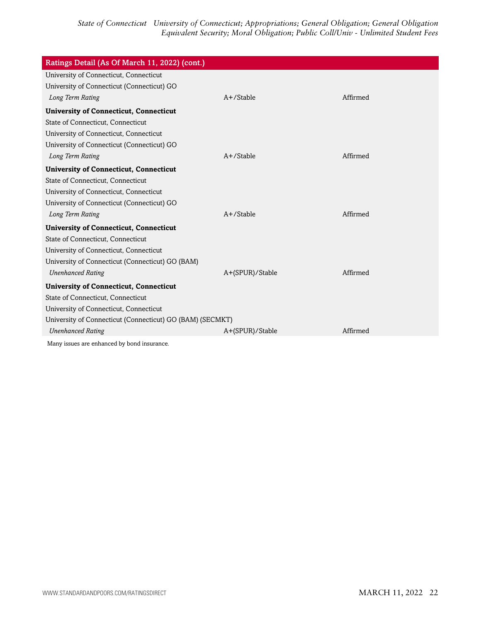| Ratings Detail (As Of March 11, 2022) (cont.)             |                 |          |
|-----------------------------------------------------------|-----------------|----------|
| University of Connecticut, Connecticut                    |                 |          |
| University of Connecticut (Connecticut) GO                |                 |          |
| Long Term Rating                                          | $A+$ /Stable    | Affirmed |
| <b>University of Connecticut, Connecticut</b>             |                 |          |
| State of Connecticut, Connecticut                         |                 |          |
| University of Connecticut, Connecticut                    |                 |          |
| University of Connecticut (Connecticut) GO                |                 |          |
| Long Term Rating                                          | $A+$ /Stable    | Affirmed |
| <b>University of Connecticut, Connecticut</b>             |                 |          |
| State of Connecticut, Connecticut                         |                 |          |
| University of Connecticut, Connecticut                    |                 |          |
| University of Connecticut (Connecticut) GO                |                 |          |
| Long Term Rating                                          | $A+$ /Stable    | Affirmed |
| <b>University of Connecticut, Connecticut</b>             |                 |          |
| State of Connecticut, Connecticut                         |                 |          |
| University of Connecticut, Connecticut                    |                 |          |
| University of Connecticut (Connecticut) GO (BAM)          |                 |          |
| <b>Unenhanced Rating</b>                                  | A+(SPUR)/Stable | Affirmed |
| <b>University of Connecticut, Connecticut</b>             |                 |          |
| State of Connecticut, Connecticut                         |                 |          |
| University of Connecticut, Connecticut                    |                 |          |
| University of Connecticut (Connecticut) GO (BAM) (SECMKT) |                 |          |
| <b>Unenhanced Rating</b>                                  | A+(SPUR)/Stable | Affirmed |
| Many issues are enhanced by bond insurance.               |                 |          |